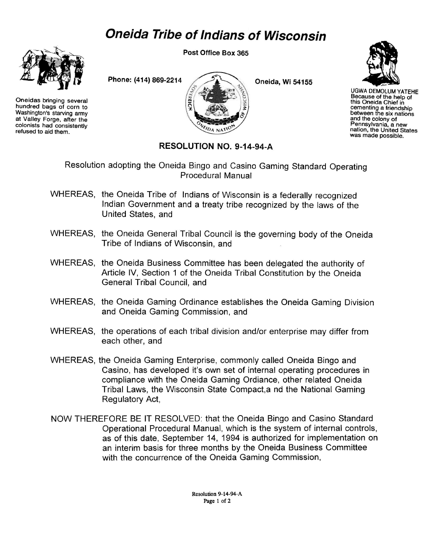## *Oneida Tribe of Indians of Wisconsin*



Oneidas bringing several hundred bags of corn to Washington's starving army at Valley Forge, after the colonists had consistently refused to aid them.

**Post Office Box 365** 



**Oneida, Wi 54155** 



UGWA DEMOLUM YATEHE Because of the help *of*  this Oneida Chief in cementing a friendship between the six nations and the colony of Pennsylvania, a new nation, the United States was made possible

## **RESOLUTION NO. 09-14-94-A**

Resolution adopting the Oneida Bingo and Casino Gaming Standard Operating Procedural Manual

- WHEREAS, the Oneida Tribe of Indians of Wisconsin is a federally recognized Indian Government and a treaty tribe recognized by the laws of the United States, and
- WHEREAS, the Oneida General Tribal Council is the governing body of the Oneida Tribe of Indians of Wisconsin, and
- WHEREAS, the Oneida Business Committee has been delegated the authority of Article IV, Section 1 of the Oneida Tribal Constitution by the Oneida General Tribal Council, and
- WHEREAS, the Oneida Gaming Ordinance establishes the Oneida Gaming Division and Oneida Gaming Commission, and
- WHEREAS, the operations of each tribal division and/or enterprise may differ from each other, and
- WHEREAS, the Oneida Gaming Enterprise, commonly called Oneida Bingo and Casino, has developed it's own set of internal operating procedures in compliance with the Oneida Gaming Ordiance, other related Oneida Tribal Laws, the Wisconsin State Compact,a nd the National Gaming Regulatory Act,
- NOW THEREFORE BE IT RESOLVED: that the Oneida Bingo and Casino Standard Operational Procedural Manual, which is the system of internal controls, as of this date, September 14, 1994 is authorized for implementation on an interim basis for three months by the Oneida Business Committee with the concurrence of the Oneida Gaming Commission,